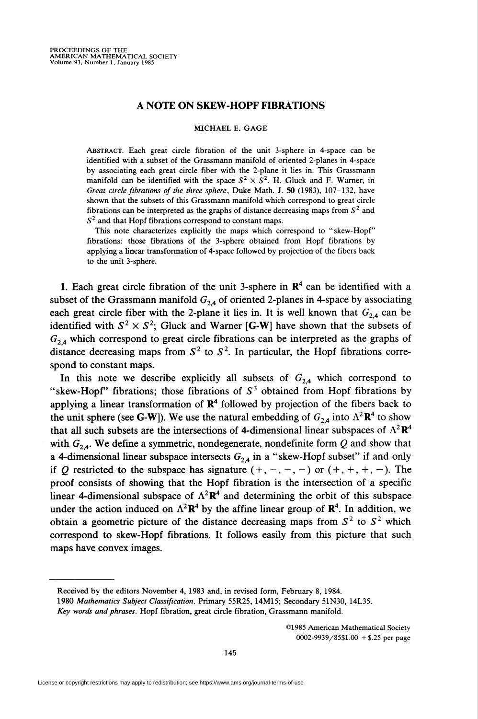## A NOTE ON SKEW-HOPF FIBRATIONS

## MICHAEL E. GAGE

Abstract. Each great circle fibration of the unit 3-sphere in 4-space can be identified with a subset of the Grassmann manifold of oriented 2-planes in 4-space by associating each great circle fiber with the 2-plane it lies in. This Grassmann manifold can be identified with the space  $S^2 \times S^2$ . H. Gluck and F. Warner, in Great circle fibrations of the three sphere, Duke Math. J. 50 (1983), 107-132, have shown that the subsets of this Grassmann manifold which correspond to great circle fibrations can be interpreted as the graphs of distance decreasing maps from  $S<sup>2</sup>$  and  $S<sup>2</sup>$  and that Hopf fibrations correspond to constant maps.

This note characterizes explicitly the maps which correspond to "skew-Hopf" fibrations: those fibrations of the 3-sphere obtained from Hopf fibrations by applying a linear transformation of 4-space followed by projection of the fibers back to the unit 3-sphere.

1. Each great circle fibration of the unit 3-sphere in  $\mathbb{R}^4$  can be identified with a subset of the Grassmann manifold  $G_{24}$  of oriented 2-planes in 4-space by associating each great circle fiber with the 2-plane it lies in. It is well known that  $G_{2,4}$  can be identified with  $S^2 \times S^2$ ; Gluck and Warner [G-W] have shown that the subsets of  $G_{2,4}$  which correspond to great circle fibrations can be interpreted as the graphs of distance decreasing maps from  $S^2$  to  $S^2$ . In particular, the Hopf fibrations correspond to constant maps.

In this note we describe explicitly all subsets of  $G_{2,4}$  which correspond to "skew-Hopf" fibrations; those fibrations of  $S<sup>3</sup>$  obtained from Hopf fibrations by applying a linear transformation of  $\mathbb{R}^4$  followed by projection of the fibers back to the unit sphere (see G-W]). We use the natural embedding of  $G_{24}$  into  $\Lambda^2 \mathbb{R}^4$  to show that all such subsets are the intersections of 4-dimensional linear subspaces of  $\Lambda^2 \mathbf{R}^4$ with  $G_{2,4}$ . We define a symmetric, nondegenerate, nondefinite form Q and show that a 4-dimensional linear subspace intersects  $G_{2,4}$  in a "skew-Hopf subset" if and only if Q restricted to the subspace has signature  $(+, -, -, -)$  or  $(+, +, +, -)$ . The proof consists of showing that the Hopf fibration is the intersection of a specific linear 4-dimensional subspace of  $\Lambda^2 \mathbf{R}^4$  and determining the orbit of this subspace under the action induced on  $\Lambda^2 \mathbf{R}^4$  by the affine linear group of  $\mathbf{R}^4$ . In addition, we obtain a geometric picture of the distance decreasing maps from  $S^2$  to  $S^2$  which correspond to skew-Hopf fibrations. It follows easily from this picture that such maps have convex images.

©1985 American Mathematical Society 0O02-9939/85\$1.00 +\$.25 per page

Received by the editors November 4, 1983 and, in revised form, February 8, 1984.

<sup>1980</sup> Mathematics Subject Classification. Primary 55R25, 14M15; Secondary 51N30, 14L35.

Key words and phrases. Hopf fibration, great circle fibration, Grassmann manifold.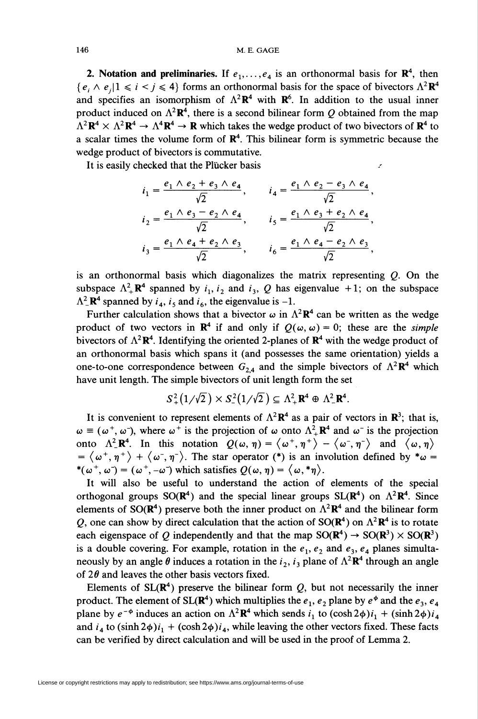**2. Notation and preliminaries.** If  $e_1, \ldots, e_4$  is an orthonormal basis for  $\mathbb{R}^4$ , then  $\{e_i \wedge e_j | 1 \leq i \leq j \leq 4\}$  forms an orthonormal basis for the space of bivectors  $\Lambda^2 \mathbb{R}^4$ and specifies an isomorphism of  $\Lambda^2 \mathbb{R}^4$  with  $\mathbb{R}^6$ . In addition to the usual inner product induced on  $\Lambda^2 \mathbf{R}^4$ , there is a second bilinear form Q obtained from the map  $\Lambda^2 \mathbf{R}^4 \times \Lambda^2 \mathbf{R}^4 \to \Lambda^4 \mathbf{R}^4 \to \mathbf{R}$  which takes the wedge product of two bivectors of  $\mathbf{R}^4$  to a scalar times the volume form of  $\mathbb{R}^4$ . This bilinear form is symmetric because the wedge product of bivectors is commutative.

It is easily checked that the Plücker basis

$$
i_1 = \frac{e_1 \wedge e_2 + e_3 \wedge e_4}{\sqrt{2}}, \qquad i_4 = \frac{e_1 \wedge e_2 - e_3 \wedge e_4}{\sqrt{2}},
$$
  

$$
i_2 = \frac{e_1 \wedge e_3 - e_2 \wedge e_4}{\sqrt{2}}, \qquad i_5 = \frac{e_1 \wedge e_3 + e_2 \wedge e_4}{\sqrt{2}},
$$
  

$$
i_3 = \frac{e_1 \wedge e_4 + e_2 \wedge e_3}{\sqrt{2}}, \qquad i_6 = \frac{e_1 \wedge e_4 - e_2 \wedge e_3}{\sqrt{2}},
$$

is an orthonormal basis which diagonalizes the matrix representing  $O$ . On the subspace  $\Lambda^2_+ \mathbf{R}^4$  spanned by  $i_1, i_2$  and  $i_3, Q$  has eigenvalue +1; on the subspace  $\Lambda^2$  R<sup>4</sup> spanned by  $i_4$ ,  $i_5$  and  $i_6$ , the eigenvalue is -1.

Further calculation shows that a bivector  $\omega$  in  $\Lambda^2 \mathbf{R}^4$  can be written as the wedge product of two vectors in  $\mathbb{R}^4$  if and only if  $Q(\omega, \omega) = 0$ ; these are the simple bivectors of  $\Lambda^2 \mathbf{R}^4$ . Identifying the oriented 2-planes of  $\mathbf{R}^4$  with the wedge product of an orthonormal basis which spans it (and possesses the same orientation) yields a one-to-one correspondence between  $G_{2,4}$  and the simple bivectors of  $\Lambda^2 \mathbf{R}^4$  which have unit length. The simple bivectors of unit length form the set

$$
S_+^2(1/\sqrt{2}) \times S_-^2(1/\sqrt{2}) \subseteq \Lambda_+^2 \mathbf{R}^4 \oplus \Lambda_-^2 \mathbf{R}^4.
$$

It is convenient to represent elements of  $\Lambda^2 \mathbf{R}^4$  as a pair of vectors in  $\mathbf{R}^3$ ; that is,  $\omega \equiv (\omega^+, \omega^-)$ , where  $\omega^+$  is the projection of  $\omega$  onto  $\Lambda^2_{\perp} \mathbb{R}^4$  and  $\omega^-$  is the projection onto  $\Lambda^2 \mathbb{R}^4$ . In this notation  $Q(\omega, \eta) = \langle \omega^+, \eta^+ \rangle - \langle \omega^-, \eta^- \rangle$  and  $\langle \omega, \eta \rangle$  $=\langle \omega^+, \eta^+ \rangle + \langle \omega^-, \eta^- \rangle$ . The star operator (\*) is an involution defined by \* $\omega =$ \*( $\omega^+$ ,  $\omega^-$ ) = ( $\omega^+$ ,  $-\omega^-$ ) which satisfies  $Q(\omega, \eta) = \langle \omega, * \eta \rangle$ .

It will also be useful to understand the action of elements of the special orthogonal groups  $SO(\mathbb{R}^4)$  and the special linear groups  $SL(\mathbb{R}^4)$  on  $\Lambda^2 \mathbb{R}^4$ . Since elements of SO( $\mathbb{R}^4$ ) preserve both the inner product on  $\Lambda^2 \mathbb{R}^4$  and the bilinear form Q, one can show by direct calculation that the action of SO( $\mathbb{R}^4$ ) on  $\Lambda^2 \mathbb{R}^4$  is to rotate each eigenspace of Q independently and that the map  $SO(\mathbb{R}^4) \rightarrow SO(\mathbb{R}^3) \times SO(\mathbb{R}^3)$ is a double covering. For example, rotation in the  $e_1, e_2$  and  $e_3, e_4$  planes simultaneously by an angle  $\theta$  induces a rotation in the  $i_2$ ,  $i_3$  plane of  $\Lambda^2\mathbb{R}^4$  through an angle of  $2\theta$  and leaves the other basis vectors fixed.

Elements of  $SL(\mathbb{R}^4)$  preserve the bilinear form Q, but not necessarily the inner product. The element of SL( $\mathbb{R}^4$ ) which multiplies the  $e_1$ ,  $e_2$  plane by  $e^{\phi}$  and the  $e_3$ ,  $e_4$ plane by  $e^{-\phi}$  induces an action on  $\Lambda^2 \mathbf{R}^4$  which sends  $i_1$  to  $(\cosh 2\phi)i_1 + (\sinh 2\phi)i_4$ and  $i_4$  to  $(\sinh 2\phi)i_1 + (\cosh 2\phi)i_4$ , while leaving the other vectors fixed. These facts can be verified by direct calculation and will be used in the proof of Lemma 2.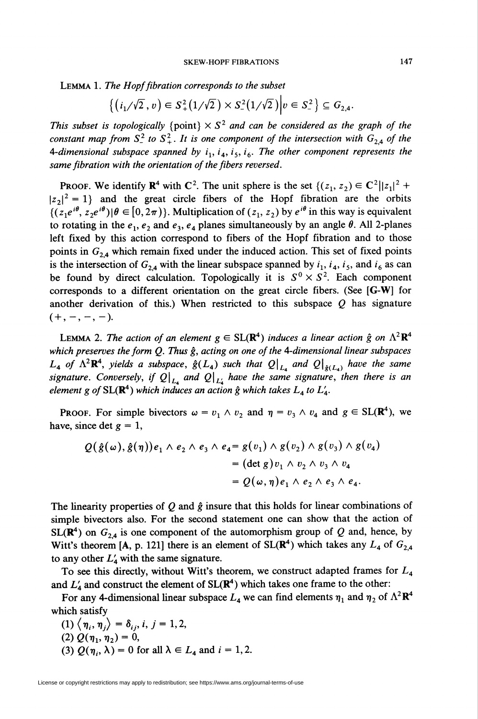Lemma 1. The Hopf fibration corresponds to the subset

$$
\left\{ \left( i_1/\sqrt{2} \, , \, v \right) \in S^2_+(1/\sqrt{2}) \times S^2_-(1/\sqrt{2}) \middle| v \in S^2_- \right\} \subseteq G_{2,4}.
$$

This subset is topologically {point}  $\times S^2$  and can be considered as the graph of the constant map from  $S^2$  to  $S^2_+$ . It is one component of the intersection with  $G_{2,4}$  of the 4-dimensional subspace spanned by  $i_1$ ,  $i_4$ ,  $i_5$ ,  $i_6$ . The other component represents the same fibration with the orientation of the fibers reversed.

**PROOF.** We identify  $\mathbb{R}^4$  with  $\mathbb{C}^2$ . The unit sphere is the set  $\{(z_1, z_2) \in \mathbb{C}^2 ||z_1|^2 + \dots \}$  $|z_2|^2 = 1$ } and the great circle fibers of the Hopf fibration are the orbits  $\{(z_1e^{i\theta}, z_2e^{i\theta})|\theta\in [0,2\pi)\}\)$ . Multiplication of  $(z_1, z_2)$  by  $e^{i\theta}$  in this way is equivalent to rotating in the  $e_1$ ,  $e_2$  and  $e_3$ ,  $e_4$  planes simultaneously by an angle  $\theta$ . All 2-planes left fixed by this action correspond to fibers of the Hopf fibration and to those points in  $G_{2,4}$  which remain fixed under the induced action. This set of fixed points is the intersection of  $G_{2,4}$  with the linear subspace spanned by  $i_1, i_4, i_5$ , and  $i_6$  as can be found by direct calculation. Topologically it is  $S^0 \times S^2$ . Each component corresponds to a different orientation on the great circle fibers. (See [G-W] for another derivation of this.) When restricted to this subspace  $Q$  has signature  $(+,-,-,-).$ 

LEMMA 2. The action of an element  $g \in SL(\mathbb{R}^4)$  induces a linear action  $\hat{g}$  on  $\Lambda^2 \mathbb{R}^4$ which preserves the form  $Q$ . Thus  $\hat{g}$ , acting on one of the 4-dimensional linear subspaces  $L_4$  of  $\Lambda^2 \mathbb{R}^4$ , yields a subspace,  $\hat{g}(L_4)$  such that  $Q\big|_{L_4}$  and  $Q\big|_{\hat{g}(L_4)}$  have the same signature. Conversely, if  $Q\vert_{L_4}$  and  $Q\vert_{L_4}$  have the same signature, then there is an element g of  $SL(\mathbb{R}^4)$  which induces an action  $\hat{g}$  which takes  $L_4$  to  $L'_4$ .

**PROOF.** For simple bivectors  $\omega = v_1 \wedge v_2$  and  $\eta = v_3 \wedge v_4$  and  $g \in SL(\mathbb{R}^4)$ , we have, since det  $g = 1$ ,

$$
Q(\hat{g}(\omega), \hat{g}(\eta))e_1 \wedge e_2 \wedge e_3 \wedge e_4 = g(v_1) \wedge g(v_2) \wedge g(v_3) \wedge g(v_4)
$$
  
= 
$$
(\det g)v_1 \wedge v_2 \wedge v_3 \wedge v_4
$$
  
= 
$$
Q(\omega, \eta)e_1 \wedge e_2 \wedge e_3 \wedge e_4.
$$

The linearity properties of Q and  $\hat{g}$  insure that this holds for linear combinations of simple bivectors also. For the second statement one can show that the action of  $SL(\mathbb{R}^4)$  on  $G_{2,4}$  is one component of the automorphism group of Q and, hence, by Witt's theorem [A, p. 121] there is an element of  $SL(\mathbb{R}^4)$  which takes any  $L_4$  of  $G_{2,4}$ to any other  $L'_{4}$  with the same signature.

To see this directly, without Witt's theorem, we construct adapted frames for  $L_4$ and  $L'_4$  and construct the element of  $SL(\mathbb{R}^4)$  which takes one frame to the other:

For any 4-dimensional linear subspace  $L_4$  we can find elements  $\eta_1$  and  $\eta_2$  of  $\Lambda^2\mathbb{R}^4$ which satisfy

- (1)  $\langle \eta_i, \eta_j \rangle = \delta_{ij}, i, j = 1,2,$
- (2)  $Q(\eta_1, \eta_2) = 0$ ,
- (3)  $Q(\eta_i, \lambda) = 0$  for all  $\lambda \in L_4$  and  $i = 1, 2$ .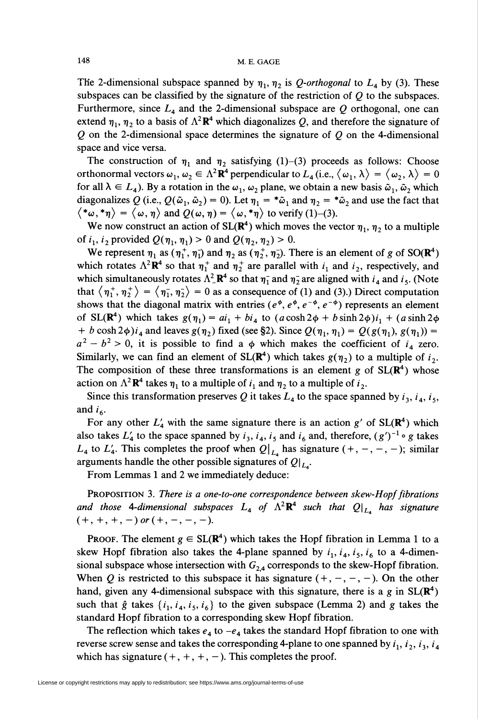The 2-dimensional subspace spanned by  $\eta_1$ ,  $\eta_2$  is Q-orthogonal to  $L_4$  by (3). These subspaces can be classified by the signature of the restriction of  $Q$  to the subspaces. Furthermore, since  $L_4$  and the 2-dimensional subspace are Q orthogonal, one can extend  $\eta_1$ ,  $\eta_2$  to a basis of  $\Lambda^2 \mathbf{R}^4$  which diagonalizes Q, and therefore the signature of  $Q$  on the 2-dimensional space determines the signature of  $Q$  on the 4-dimensional space and vice versa.

The construction of  $\eta_1$  and  $\eta_2$  satisfying (1)-(3) proceeds as follows: Choose orthonormal vectors  $\omega_1, \omega_2 \in \Lambda^2 \mathbb{R}^4$  perpendicular to  $L_4$  (i.e.,  $\langle \omega_1, \lambda \rangle = \langle \omega_2, \lambda \rangle = 0$ for all  $\lambda \in L_4$ ). By a rotation in the  $\omega_1$ ,  $\omega_2$  plane, we obtain a new basis  $\tilde{\omega}_1$ ,  $\tilde{\omega}_2$  which diagonalizes Q (i.e.,  $Q(\tilde{\omega}_1, \tilde{\omega}_2) = 0$ ). Let  $\eta_1 = * \tilde{\omega}_1$  and  $\eta_2 = * \tilde{\omega}_2$  and use the fact that  $\langle *_{\omega}, *_{\eta} \rangle = \langle \omega, \eta \rangle$  and  $Q(\omega, \eta) = \langle \omega, *_{\eta} \rangle$  to verify (1)-(3).

We now construct an action of  $SL(\mathbb{R}^4)$  which moves the vector  $\eta_1$ ,  $\eta_2$  to a multiple of  $i_1$ ,  $i_2$  provided  $Q(\eta_1, \eta_1) > 0$  and  $Q(\eta_2, \eta_2) > 0$ .

We represent  $\eta_1$  as  $(\eta_1^+, \eta_1^-)$  and  $\eta_2$  as  $(\eta_2^+, \eta_2^-)$ . There is an element of g of SO( $\mathbb{R}^4$ ) which rotates  $\Lambda^2 \mathbf{R}^4$  so that  $\eta_1^+$  and  $\eta_2^+$  are parallel with  $i_1$  and  $i_2$ , respectively, and which simultaneously rotates  $\Lambda^2 \mathbf{R}^4$  so that  $\eta_1^-$  and  $\eta_2^-$  are aligned with  $i_4$  and  $i_5$ . (Note that  $\langle \eta_1^+, \eta_2^+ \rangle = \langle \eta_1^-, \eta_2^- \rangle = 0$  as a consequence of (1) and (3).) Direct computation shows that the diagonal matrix with entries ( $e^{\phi}, e^{\phi}, e^{-\phi}, e^{-\phi}$ ) represents an element of SL( $\mathbb{R}^4$ ) which takes  $g(\eta_1) = ai_1 + bi_4$  to  $(a \cosh 2\phi + b \sinh 2\phi)i_1 + (a \sinh 2\phi)$ + b cosh 2 $\phi$ ) $i_4$  and leaves  $g(\eta_2)$  fixed (see §2). Since  $Q(\eta_1, \eta_1) = Q(g(\eta_1), g(\eta_1))$  =  $a^2 - b^2 > 0$ , it is possible to find a  $\phi$  which makes the coefficient of  $i<sub>4</sub>$  zero. Similarly, we can find an element of  $SL(\mathbb{R}^4)$  which takes  $g(\eta_2)$  to a multiple of  $i_2$ . The composition of these three transformations is an element g of  $SL(R<sup>4</sup>)$  whose action on  $\Lambda^2 \mathbf{R}^4$  takes  $\eta_1$  to a multiple of  $i_1$  and  $\eta_2$  to a multiple of  $i_2$ .

Since this transformation preserves Q it takes  $L_4$  to the space spanned by  $i_3$ ,  $i_4$ ,  $i_5$ , and  $i_6$ .

For any other  $L'_4$  with the same signature there is an action g' of  $SL(\mathbb{R}^4)$  which also takes  $L'_4$  to the space spanned by  $i_3$ ,  $i_4$ ,  $i_5$  and  $i_6$  and, therefore,  $(g')^{-1} \circ g$  takes  $L_4$  to  $L'_4$ . This completes the proof when  $Q\vert_{L_4}$  has signature  $(+, -, -, -)$ ; similar arguments handle the other possible signatures of  $Q\vert_{L}$ .

From Lemmas 1 and 2 we immediately deduce:

PROPOSITION 3. There is a one-to-one correspondence between skew-Hopf fibrations and those 4-dimensional subspaces  $L_4$  of  $\Lambda^2 \mathbf{R}^4$  such that  $Q|_{L_4}$  has signature  $(+, +, +, -)$  or  $(+, -, -, -).$ 

**PROOF.** The element  $g \in SL(\mathbb{R}^4)$  which takes the Hopf fibration in Lemma 1 to a skew Hopf fibration also takes the 4-plane spanned by  $i_1$ ,  $i_4$ ,  $i_5$ ,  $i_6$  to a 4-dimensional subspace whose intersection with  $G_{2,4}$  corresponds to the skew-Hopf fibration. When Q is restricted to this subspace it has signature  $(+, -, -, -)$ . On the other hand, given any 4-dimensional subspace with this signature, there is a g in  $SL(\mathbb{R}^4)$ such that  $\hat{g}$  takes  $\{i_1, i_4, i_5, i_6\}$  to the given subspace (Lemma 2) and g takes the standard Hopf fibration to a corresponding skew Hopf fibration.

The reflection which takes  $e_4$  to  $-e_4$  takes the standard Hopf fibration to one with reverse screw sense and takes the corresponding 4-plane to one spanned by  $i_1$ ,  $i_2$ ,  $i_3$ ,  $i_4$ which has signature  $(+,+,+,-)$ . This completes the proof.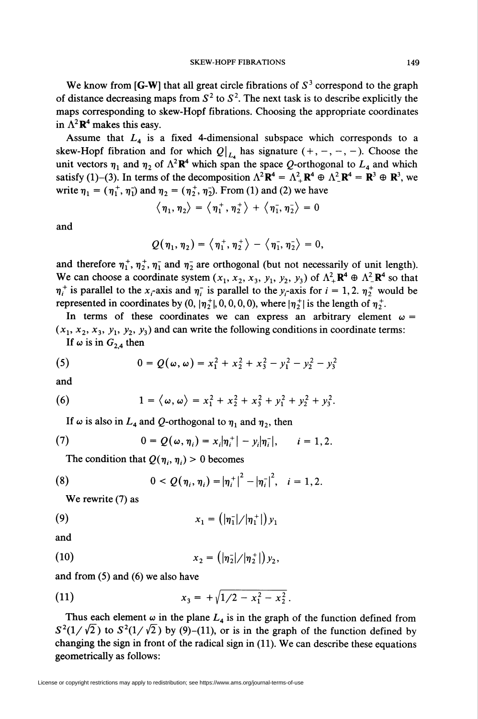We know from  $[G-W]$  that all great circle fibrations of  $S<sup>3</sup>$  correspond to the graph of distance decreasing maps from  $S^2$  to  $S^2$ . The next task is to describe explicitly the maps corresponding to skew-Hopf fibrations. Choosing the appropriate coordinates in  $\Lambda^2 \mathbf{R}^4$  makes this easy.

Assume that  $L<sub>4</sub>$  is a fixed 4-dimensional subspace which corresponds to a skew-Hopf fibration and for which  $Q \vert_{L_4}$  has signature  $(+, -, -, -)$ . Choose the unit vectors  $\eta_1$  and  $\eta_2$  of  $\Lambda^2\mathbb{R}^4$  which span the space Q-orthogonal to  $L_4$  and which satisfy (1)–(3). In terms of the decomposition  $\Lambda^2 \mathbf{R}^4 = \Lambda^2_{+} \mathbf{R}^4 \oplus \Lambda^2_{-} \mathbf{R}^4 = \mathbf{R}^3 \oplus \mathbf{R}^3$ , we write  $\eta_1 = (\eta_1^+, \eta_1^-)$  and  $\eta_2 = (\eta_2^+, \eta_2^-)$ . From (1) and (2) we have

$$
\langle \eta_1, \eta_2 \rangle = \langle \eta_1^+, \eta_2^+ \rangle + \langle \eta_1^-, \eta_2^- \rangle = 0
$$

and

$$
Q(\eta_1,\eta_2)=\left\langle \eta_1^+,\eta_2^+\right\rangle-\left\langle \eta_1^-,\eta_2^-\right\rangle=0,
$$

and therefore  $\eta_1^+, \eta_2^+, \eta_1^-$  and  $\eta_2^-$  are orthogonal (but not necessarily of unit length). We can choose a coordinate system  $(x_1, x_2, x_3, y_1, y_2, y_3)$  of  $\Lambda^2_+\mathbf{R}^4 \oplus \Lambda^2_-\mathbf{R}^4$  so that  $\eta_i^+$  is parallel to the  $x_i$ -axis and  $\eta_i^-$  is parallel to the y<sub>i</sub>-axis for  $i = 1,2$ .  $\eta_2^+$  would be represented in coordinates by  $(0, |\eta_2^+|, 0, 0, 0, 0)$ , where  $|\eta_2^+|$  is the length of  $\eta_2^+$ .

In terms of these coordinates we can express an arbitrary element  $\omega$  =  $(x_1, x_2, x_3, y_1, y_2, y_3)$  and can write the following conditions in coordinate terms: If  $\omega$  is in  $G_{2,4}$  then

(5) 
$$
0 = Q(\omega, \omega) = x_1^2 + x_2^2 + x_3^2 - y_1^2 - y_2^2 - y_3^2
$$

and

(6) 
$$
1 = \langle \omega, \omega \rangle = x_1^2 + x_2^2 + x_3^2 + y_1^2 + y_2^2 + y_3^2.
$$

If  $\omega$  is also in  $L_4$  and Q-orthogonal to  $\eta_1$  and  $\eta_2$ , then

(7) 
$$
0 = Q(\omega, \eta_i) = x_i |\eta_i^+| - y_i |\eta_i^-|, \qquad i = 1, 2.
$$

The condition that  $Q(\eta_i, \eta_i) > 0$  becomes

(8) 
$$
0 < Q(\eta_i, \eta_i) = |\eta_i^+|^2 - |\eta_i^-|^2, \quad i = 1, 2.
$$

We rewrite (7) as

(9) 
$$
x_1 = (|\eta_1|/|\eta_1^+|) y_1
$$

and

(10) 
$$
x_2 = (|\eta_2|/|\eta_2^+|) y_2,
$$

and from (5) and (6) we also have

(11) 
$$
x_3 = +\sqrt{1/2 - x_1^2 - x_2^2}.
$$

Thus each element  $\omega$  in the plane  $L_4$  is in the graph of the function defined from  $S^2(1/\sqrt{2})$  to  $S^2(1/\sqrt{2})$  by (9)–(11), or is in the graph of the function defined by changing the sign in front of the radical sign in (11). We can describe these equations geometrically as follows: